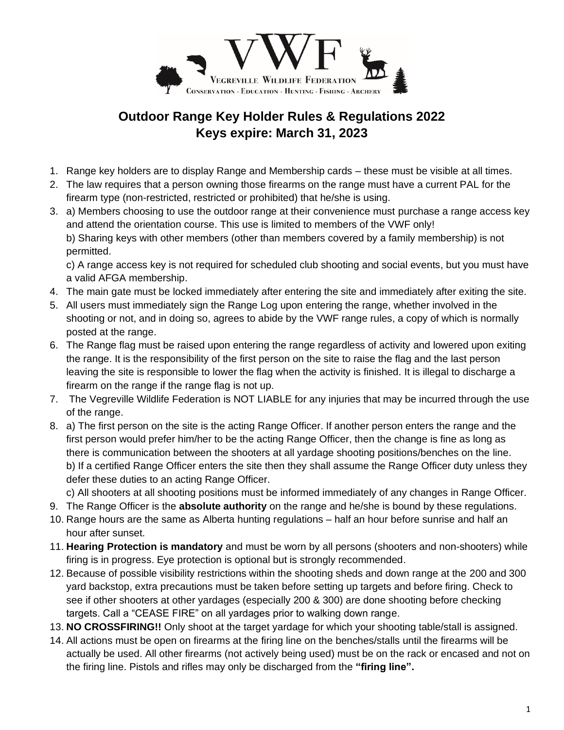

## **Outdoor Range Key Holder Rules & Regulations 2022 Keys expire: March 31, 2023**

- 1. Range key holders are to display Range and Membership cards these must be visible at all times.
- 2. The law requires that a person owning those firearms on the range must have a current PAL for the firearm type (non-restricted, restricted or prohibited) that he/she is using.
- 3. a) Members choosing to use the outdoor range at their convenience must purchase a range access key and attend the orientation course. This use is limited to members of the VWF only! b) Sharing keys with other members (other than members covered by a family membership) is not permitted.

c) A range access key is not required for scheduled club shooting and social events, but you must have a valid AFGA membership.

- 4. The main gate must be locked immediately after entering the site and immediately after exiting the site.
- 5. All users must immediately sign the Range Log upon entering the range, whether involved in the shooting or not, and in doing so, agrees to abide by the VWF range rules, a copy of which is normally posted at the range.
- 6. The Range flag must be raised upon entering the range regardless of activity and lowered upon exiting the range. It is the responsibility of the first person on the site to raise the flag and the last person leaving the site is responsible to lower the flag when the activity is finished. It is illegal to discharge a firearm on the range if the range flag is not up.
- 7. The Vegreville Wildlife Federation is NOT LIABLE for any injuries that may be incurred through the use of the range.
- 8. a) The first person on the site is the acting Range Officer. If another person enters the range and the first person would prefer him/her to be the acting Range Officer, then the change is fine as long as there is communication between the shooters at all yardage shooting positions/benches on the line. b) If a certified Range Officer enters the site then they shall assume the Range Officer duty unless they defer these duties to an acting Range Officer.

c) All shooters at all shooting positions must be informed immediately of any changes in Range Officer.

- 9. The Range Officer is the **absolute authority** on the range and he/she is bound by these regulations.
- 10. Range hours are the same as Alberta hunting regulations half an hour before sunrise and half an hour after sunset.
- 11. **Hearing Protection is mandatory** and must be worn by all persons (shooters and non-shooters) while firing is in progress. Eye protection is optional but is strongly recommended.
- 12. Because of possible visibility restrictions within the shooting sheds and down range at the 200 and 300 yard backstop, extra precautions must be taken before setting up targets and before firing. Check to see if other shooters at other yardages (especially 200 & 300) are done shooting before checking targets. Call a "CEASE FIRE" on all yardages prior to walking down range.
- 13. **NO CROSSFIRING!!** Only shoot at the target yardage for which your shooting table/stall is assigned.
- 14. All actions must be open on firearms at the firing line on the benches/stalls until the firearms will be actually be used. All other firearms (not actively being used) must be on the rack or encased and not on the firing line. Pistols and rifles may only be discharged from the **"firing line".**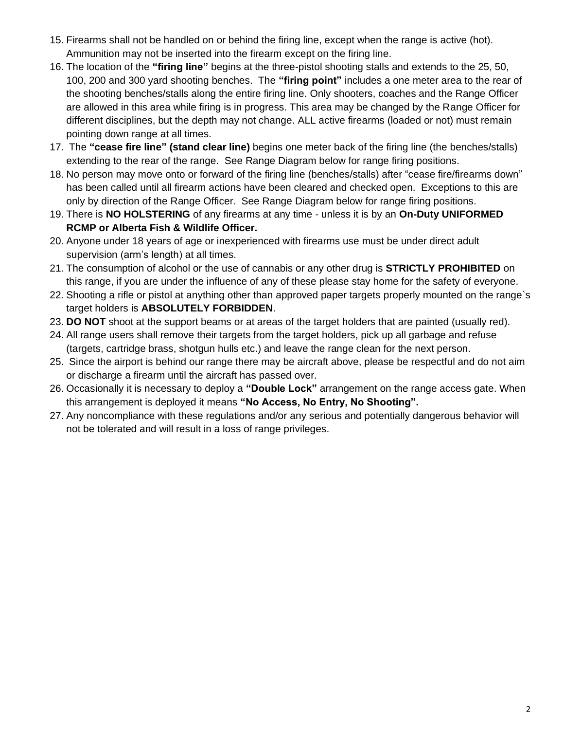- 15. Firearms shall not be handled on or behind the firing line, except when the range is active (hot). Ammunition may not be inserted into the firearm except on the firing line.
- 16. The location of the **"firing line"** begins at the three-pistol shooting stalls and extends to the 25, 50, 100, 200 and 300 yard shooting benches. The **"firing point"** includes a one meter area to the rear of the shooting benches/stalls along the entire firing line. Only shooters, coaches and the Range Officer are allowed in this area while firing is in progress. This area may be changed by the Range Officer for different disciplines, but the depth may not change. ALL active firearms (loaded or not) must remain pointing down range at all times.
- 17. The **"cease fire line" (stand clear line)** begins one meter back of the firing line (the benches/stalls) extending to the rear of the range. See Range Diagram below for range firing positions.
- 18. No person may move onto or forward of the firing line (benches/stalls) after "cease fire/firearms down" has been called until all firearm actions have been cleared and checked open. Exceptions to this are only by direction of the Range Officer. See Range Diagram below for range firing positions.
- 19. There is **NO HOLSTERING** of any firearms at any time unless it is by an **On-Duty UNIFORMED RCMP or Alberta Fish & Wildlife Officer.**
- 20. Anyone under 18 years of age or inexperienced with firearms use must be under direct adult supervision (arm's length) at all times.
- 21. The consumption of alcohol or the use of cannabis or any other drug is **STRICTLY PROHIBITED** on this range, if you are under the influence of any of these please stay home for the safety of everyone.
- 22. Shooting a rifle or pistol at anything other than approved paper targets properly mounted on the range`s target holders is **ABSOLUTELY FORBIDDEN**.
- 23. **DO NOT** shoot at the support beams or at areas of the target holders that are painted (usually red).
- 24. All range users shall remove their targets from the target holders, pick up all garbage and refuse (targets, cartridge brass, shotgun hulls etc.) and leave the range clean for the next person.
- 25. Since the airport is behind our range there may be aircraft above, please be respectful and do not aim or discharge a firearm until the aircraft has passed over.
- 26. Occasionally it is necessary to deploy a **"Double Lock"** arrangement on the range access gate. When this arrangement is deployed it means **"No Access, No Entry, No Shooting".**
- 27. Any noncompliance with these regulations and/or any serious and potentially dangerous behavior will not be tolerated and will result in a loss of range privileges.